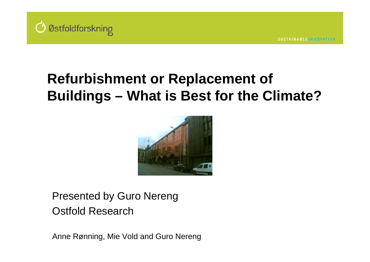

# **Refurbishment or Replacement of Buildings – What is Best for the Climate?**



Presented by Guro Nereng Ostfold Research

Anne Rønning, Mie Vold and Guro Nereng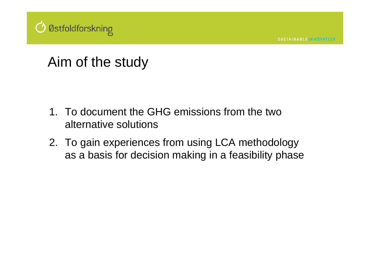

### Aim of the study

- 1. To document the GHG emissions from the two alternative solutions
- 2. To gain experiences from using LCA methodology as a basis for decision making in a feasibility phase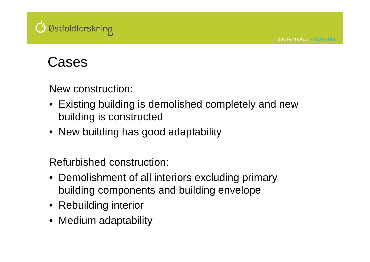

#### Cases

New construction:

- Existing building is demolished completely and new building is constructed
- New building has good adaptability

Refurbished construction:

- Demolishment of all interiors excluding primary building components and building envelope
- Rebuilding interior
- Medium adaptability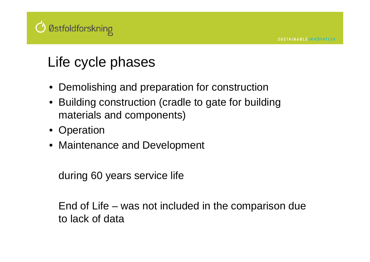# *O* Østfoldforskning

# Life cycle phases

- Demolishing and preparation for construction
- Building construction (cradle to gate for building materials and components)
- Operation
- Maintenance and Development

during 60 years service life

End of Life – was not included in the comparison due to lack of data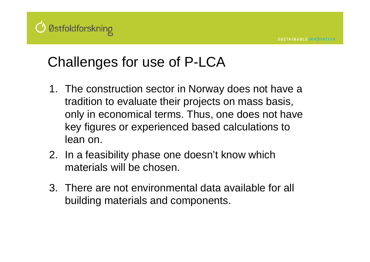# *O* Østfoldforskning

# Challenges for use of P-LCA

- 1. The construction sector in Norway does not have a tradition to evaluate their projects on mass basis, only in economical terms. Thus, one does not have key figures or experienced based calculations to lean on.
- 2. In a feasibility phase one doesn't know which materials will be chosen.
- 3. There are not environmental data available for all building materials and components.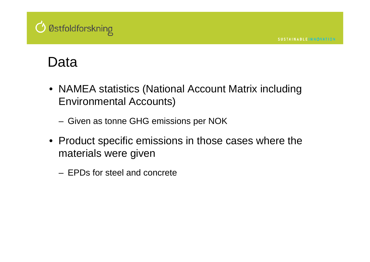

#### Data

- NAMEA statistics (National Account Matrix including Environmental Accounts)
	- Given as tonne GHG emissions per NOK
- Product specific emissions in those cases where the materials were given
	- EPDs for steel and concrete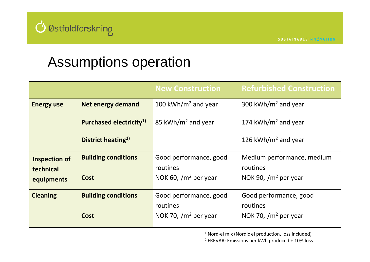

#### Assumptions operation

|                      |                                     | <b>New Construction</b>         | <b>Refurbished Construction</b> |
|----------------------|-------------------------------------|---------------------------------|---------------------------------|
| <b>Energy use</b>    | <b>Net energy demand</b>            | 100 kWh/m <sup>2</sup> and year | 300 kWh/m <sup>2</sup> and year |
|                      | Purchased electricity <sup>1)</sup> | 85 kWh/m <sup>2</sup> and year  | 174 kWh/m <sup>2</sup> and year |
|                      | District heating <sup>2)</sup>      |                                 | 126 kWh/m <sup>2</sup> and year |
| <b>Inspection of</b> | <b>Building conditions</b>          | Good performance, good          | Medium performance, medium      |
| technical            |                                     | routines                        | routines                        |
| equipments           | <b>Cost</b>                         | NOK 60,- $/m2$ per year         | NOK 90,- $/m2$ per year         |
| <b>Cleaning</b>      | <b>Building conditions</b>          | Good performance, good          | Good performance, good          |
|                      |                                     |                                 |                                 |
|                      |                                     | routines                        | routines                        |

1 Nord‐el mix (Nordic el production, loss included)

<sup>2</sup> FREVAR: Emissions per kWh produced + 10% loss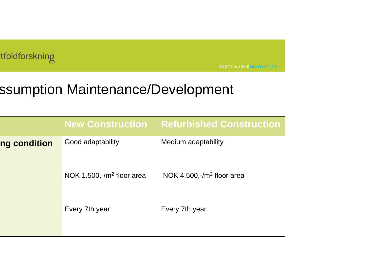

**SUSTAINABLEINNOVATION** 

# ssumption Maintenance/Development

|              | <b>New Construction</b>      | <b>Refurbished Construction</b> |
|--------------|------------------------------|---------------------------------|
| ng condition | Good adaptability            | Medium adaptability             |
|              | NOK 1.500,- $/m2$ floor area | NOK 4.500,- $/m2$ floor area    |
|              | Every 7th year               | Every 7th year                  |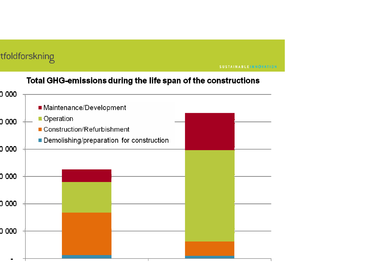#### tfoldforskning

**SUSTAINABLEINNOVATION** 

#### Total GHG-emissions during the life span of the constructions

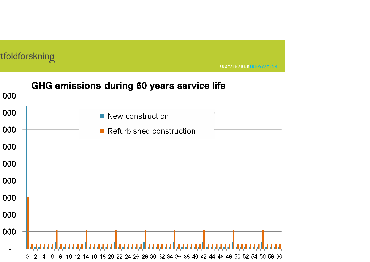#### tfoldforskning

**SUSTAINABLEINNOVATION** 

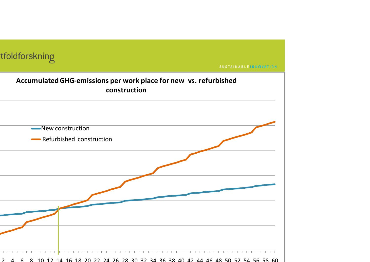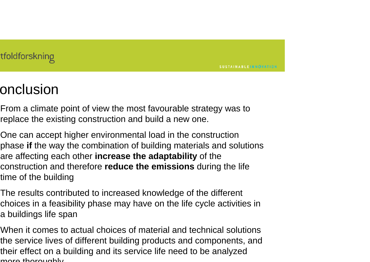**SUSTAINABLEINNOVATION** 

#### onclusion

From a climate point of view the most favourable strategy was to replace the existing construction and build a new one.

One can accept higher environmental load in the construction phase **if** the way the combination of building materials and solutions are affecting each other **increase the adaptability** of the construction and therefore **reduce the emissions** during the life time of the building

The results contributed to increased knowledge of the different choices in a feasibility phase may have on the life cycle activities in a buildings life span

When it comes to actual choices of material and technical solutions the service lives of different building products and components, and their effect on a building and its service life need to be analyzed more thoroughly